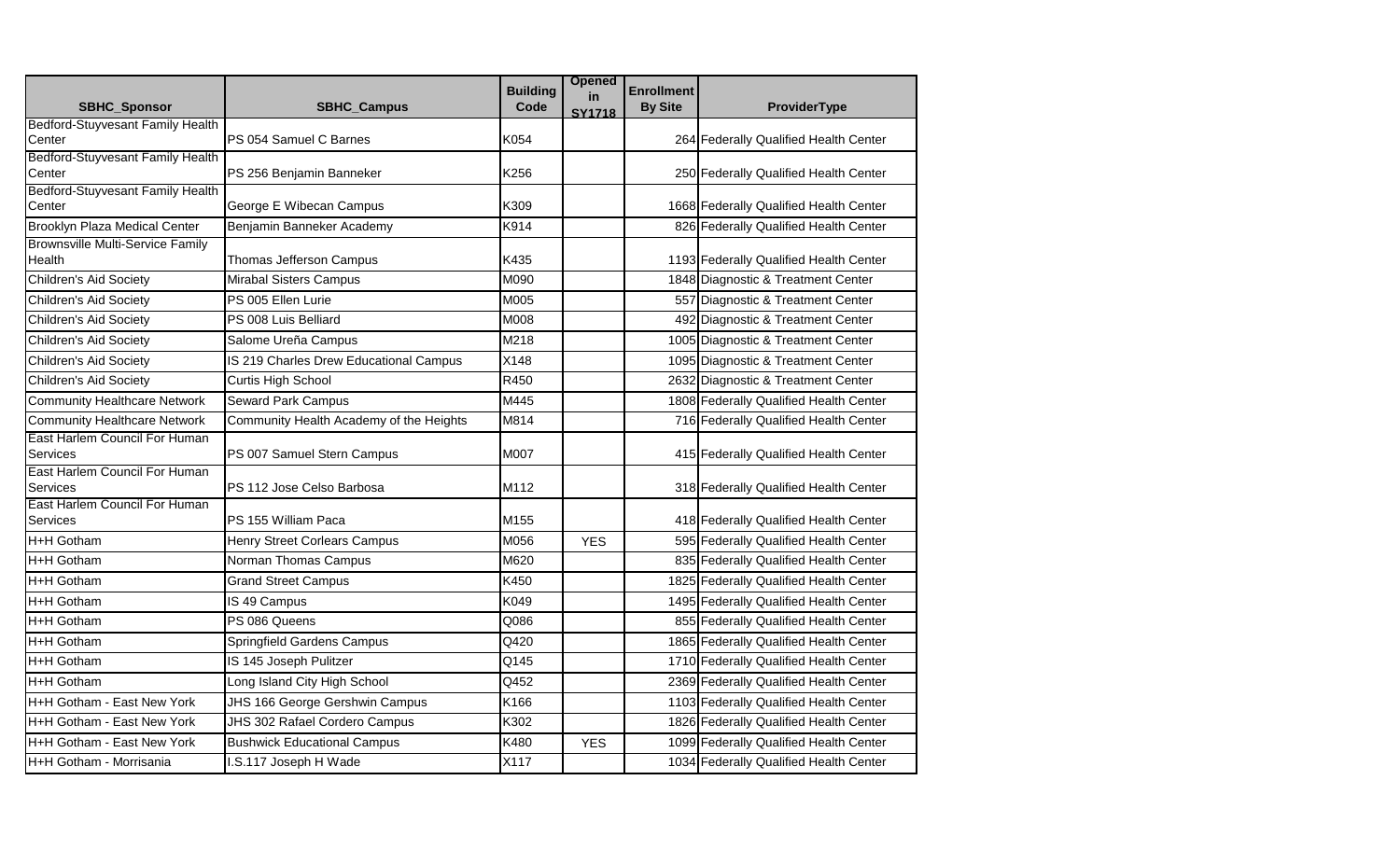| <b>SBHC Sponsor</b>                              | <b>SBHC Campus</b>                      | <b>Building</b><br>Code | <b>Opened</b><br>in<br><b>SY1718</b> | <b>Enrollment</b><br><b>By Site</b> | ProviderType                           |
|--------------------------------------------------|-----------------------------------------|-------------------------|--------------------------------------|-------------------------------------|----------------------------------------|
| <b>Bedford-Stuyvesant Family Health</b>          |                                         |                         |                                      |                                     |                                        |
| Center                                           | PS 054 Samuel C Barnes                  | K054                    |                                      |                                     | 264 Federally Qualified Health Center  |
| Bedford-Stuyvesant Family Health<br>Center       | PS 256 Benjamin Banneker                | K256                    |                                      |                                     | 250 Federally Qualified Health Center  |
| Bedford-Stuyvesant Family Health                 |                                         |                         |                                      |                                     |                                        |
| Center                                           | George E Wibecan Campus                 | K309                    |                                      |                                     | 1668 Federally Qualified Health Center |
| <b>Brooklyn Plaza Medical Center</b>             | Benjamin Banneker Academy               | K914                    |                                      |                                     | 826 Federally Qualified Health Center  |
| <b>Brownsville Multi-Service Family</b>          |                                         |                         |                                      |                                     |                                        |
| <b>Health</b>                                    | Thomas Jefferson Campus                 | K435                    |                                      |                                     | 1193 Federally Qualified Health Center |
| Children's Aid Society                           | <b>Mirabal Sisters Campus</b>           | M090                    |                                      |                                     | 1848 Diagnostic & Treatment Center     |
| Children's Aid Society                           | PS 005 Ellen Lurie                      | M005                    |                                      |                                     | 557 Diagnostic & Treatment Center      |
| Children's Aid Society                           | PS 008 Luis Belliard                    | M008                    |                                      |                                     | 492 Diagnostic & Treatment Center      |
| Children's Aid Society                           | Salome Ureña Campus                     | M218                    |                                      |                                     | 1005 Diagnostic & Treatment Center     |
| Children's Aid Society                           | IS 219 Charles Drew Educational Campus  | X148                    |                                      |                                     | 1095 Diagnostic & Treatment Center     |
| Children's Aid Society                           | Curtis High School                      | R450                    |                                      |                                     | 2632 Diagnostic & Treatment Center     |
| Community Healthcare Network                     | <b>Seward Park Campus</b>               | M445                    |                                      |                                     | 1808 Federally Qualified Health Center |
| <b>Community Healthcare Network</b>              | Community Health Academy of the Heights | M814                    |                                      |                                     | 716 Federally Qualified Health Center  |
| East Harlem Council For Human<br><b>Services</b> | PS 007 Samuel Stern Campus              | M007                    |                                      |                                     | 415 Federally Qualified Health Center  |
| East Harlem Council For Human<br>Services        | PS 112 Jose Celso Barbosa               | M112                    |                                      |                                     | 318 Federally Qualified Health Center  |
| East Harlem Council For Human<br><b>Services</b> | PS 155 William Paca                     | M155                    |                                      |                                     | 418 Federally Qualified Health Center  |
| H+H Gotham                                       | Henry Street Corlears Campus            | M056                    | <b>YES</b>                           |                                     | 595 Federally Qualified Health Center  |
| H+H Gotham                                       | Norman Thomas Campus                    | M620                    |                                      |                                     | 835 Federally Qualified Health Center  |
| H+H Gotham                                       | <b>Grand Street Campus</b>              | K450                    |                                      |                                     | 1825 Federally Qualified Health Center |
| H+H Gotham                                       | IS 49 Campus                            | K049                    |                                      |                                     | 1495 Federally Qualified Health Center |
| H+H Gotham                                       | PS 086 Queens                           | Q086                    |                                      |                                     | 855 Federally Qualified Health Center  |
| H+H Gotham                                       | Springfield Gardens Campus              | Q420                    |                                      |                                     | 1865 Federally Qualified Health Center |
| H+H Gotham                                       | IS 145 Joseph Pulitzer                  | Q145                    |                                      |                                     | 1710 Federally Qualified Health Center |
| H+H Gotham                                       | Long Island City High School            | Q452                    |                                      |                                     | 2369 Federally Qualified Health Center |
| H+H Gotham - East New York                       | JHS 166 George Gershwin Campus          | K166                    |                                      |                                     | 1103 Federally Qualified Health Center |
| H+H Gotham - East New York                       | JHS 302 Rafael Cordero Campus           | K302                    |                                      |                                     | 1826 Federally Qualified Health Center |
| H+H Gotham - East New York                       | <b>Bushwick Educational Campus</b>      | K480                    | <b>YES</b>                           |                                     | 1099 Federally Qualified Health Center |
| H+H Gotham - Morrisania                          | I.S.117 Joseph H Wade                   | X117                    |                                      |                                     | 1034 Federally Qualified Health Center |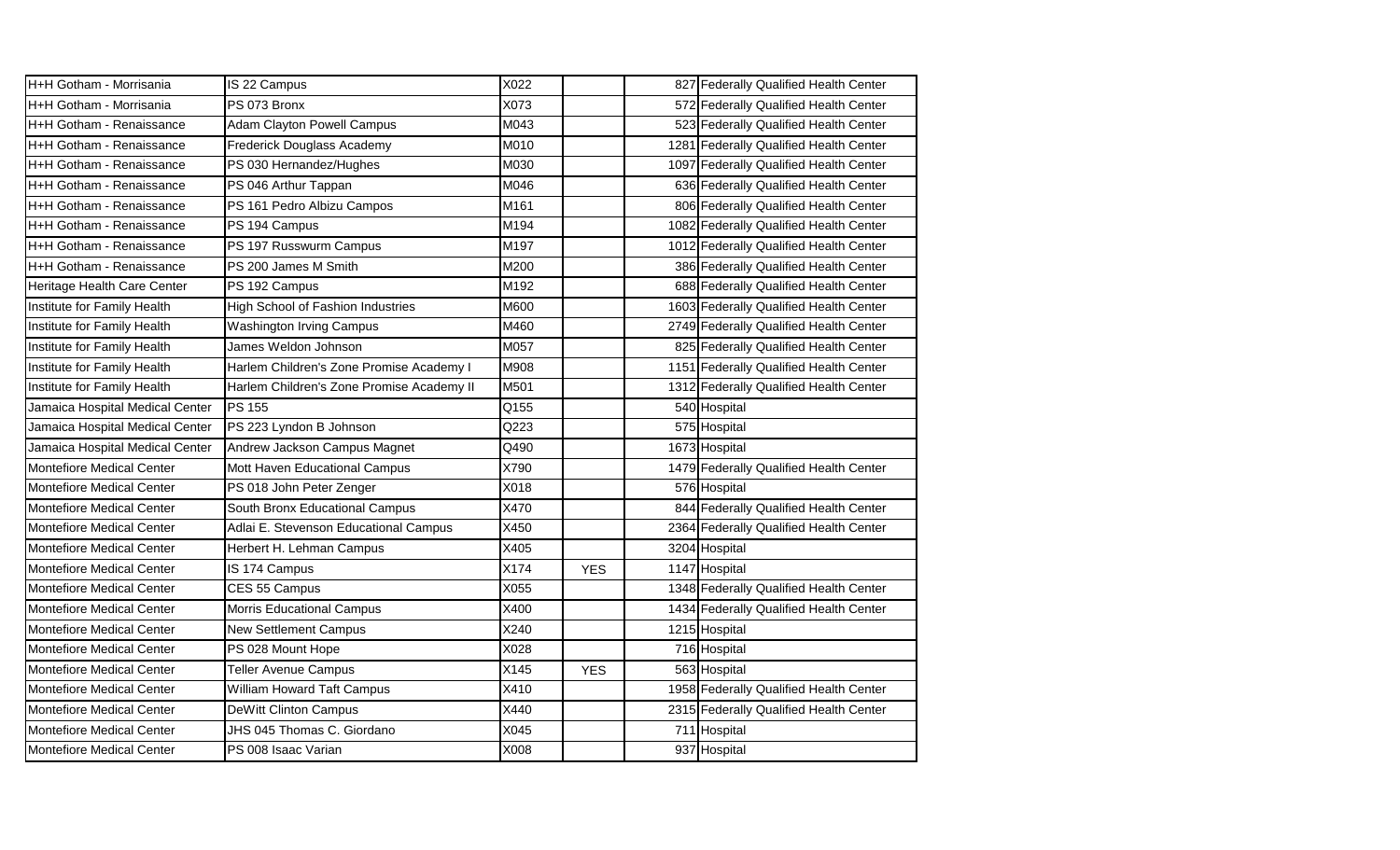| H+H Gotham - Morrisania          | IS 22 Campus                              | X022 |            |      | 827 Federally Qualified Health Center  |
|----------------------------------|-------------------------------------------|------|------------|------|----------------------------------------|
| H+H Gotham - Morrisania          | PS 073 Bronx                              | X073 |            |      | 572 Federally Qualified Health Center  |
| H+H Gotham - Renaissance         | Adam Clayton Powell Campus                | M043 |            |      | 523 Federally Qualified Health Center  |
| H+H Gotham - Renaissance         | Frederick Douglass Academy                | M010 |            |      | 1281 Federally Qualified Health Center |
| H+H Gotham - Renaissance         | PS 030 Hernandez/Hughes                   | M030 |            | 1097 | Federally Qualified Health Center      |
| H+H Gotham - Renaissance         | PS 046 Arthur Tappan                      | M046 |            |      | 636 Federally Qualified Health Center  |
| H+H Gotham - Renaissance         | PS 161 Pedro Albizu Campos                | M161 |            |      | 806 Federally Qualified Health Center  |
| H+H Gotham - Renaissance         | PS 194 Campus                             | M194 |            |      | 1082 Federally Qualified Health Center |
| H+H Gotham - Renaissance         | PS 197 Russwurm Campus                    | M197 |            |      | 1012 Federally Qualified Health Center |
| H+H Gotham - Renaissance         | PS 200 James M Smith                      | M200 |            |      | 386 Federally Qualified Health Center  |
| Heritage Health Care Center      | PS 192 Campus                             | M192 |            |      | 688 Federally Qualified Health Center  |
| Institute for Family Health      | High School of Fashion Industries         | M600 |            |      | 1603 Federally Qualified Health Center |
| Institute for Family Health      | <b>Washington Irving Campus</b>           | M460 |            |      | 2749 Federally Qualified Health Center |
| Institute for Family Health      | James Weldon Johnson                      | M057 |            |      | 825 Federally Qualified Health Center  |
| Institute for Family Health      | Harlem Children's Zone Promise Academy I  | M908 |            |      | 1151 Federally Qualified Health Center |
| Institute for Family Health      | Harlem Children's Zone Promise Academy II | M501 |            |      | 1312 Federally Qualified Health Center |
| Jamaica Hospital Medical Center  | <b>PS 155</b>                             | Q155 |            |      | 540 Hospital                           |
| Jamaica Hospital Medical Center  | PS 223 Lyndon B Johnson                   | Q223 |            |      | 575 Hospital                           |
| Jamaica Hospital Medical Center  | Andrew Jackson Campus Magnet              | Q490 |            |      | 1673 Hospital                          |
| <b>Montefiore Medical Center</b> | Mott Haven Educational Campus             | X790 |            |      | 1479 Federally Qualified Health Center |
| <b>Montefiore Medical Center</b> | PS 018 John Peter Zenger                  | X018 |            |      | 576 Hospital                           |
| <b>Montefiore Medical Center</b> | South Bronx Educational Campus            | X470 |            |      | 844 Federally Qualified Health Center  |
| <b>Montefiore Medical Center</b> | Adlai E. Stevenson Educational Campus     | X450 |            |      | 2364 Federally Qualified Health Center |
| <b>Montefiore Medical Center</b> | Herbert H. Lehman Campus                  | X405 |            |      | 3204 Hospital                          |
| <b>Montefiore Medical Center</b> | IS 174 Campus                             | X174 | <b>YES</b> |      | 1147 Hospital                          |
| Montefiore Medical Center        | CES 55 Campus                             | X055 |            |      | 1348 Federally Qualified Health Center |
| Montefiore Medical Center        | <b>Morris Educational Campus</b>          | X400 |            |      | 1434 Federally Qualified Health Center |
| <b>Montefiore Medical Center</b> | <b>New Settlement Campus</b>              | X240 |            |      | 1215 Hospital                          |
| <b>Montefiore Medical Center</b> | PS 028 Mount Hope                         | X028 |            |      | 716 Hospital                           |
| <b>Montefiore Medical Center</b> | <b>Teller Avenue Campus</b>               | X145 | <b>YES</b> |      | 563 Hospital                           |
| <b>Montefiore Medical Center</b> | William Howard Taft Campus                | X410 |            |      | 1958 Federally Qualified Health Center |
| <b>Montefiore Medical Center</b> | <b>DeWitt Clinton Campus</b>              | X440 |            |      | 2315 Federally Qualified Health Center |
| Montefiore Medical Center        | JHS 045 Thomas C. Giordano                | X045 |            |      | 711 Hospital                           |
| <b>Montefiore Medical Center</b> | PS 008 Isaac Varian                       | X008 |            |      | 937 Hospital                           |
|                                  |                                           |      |            |      |                                        |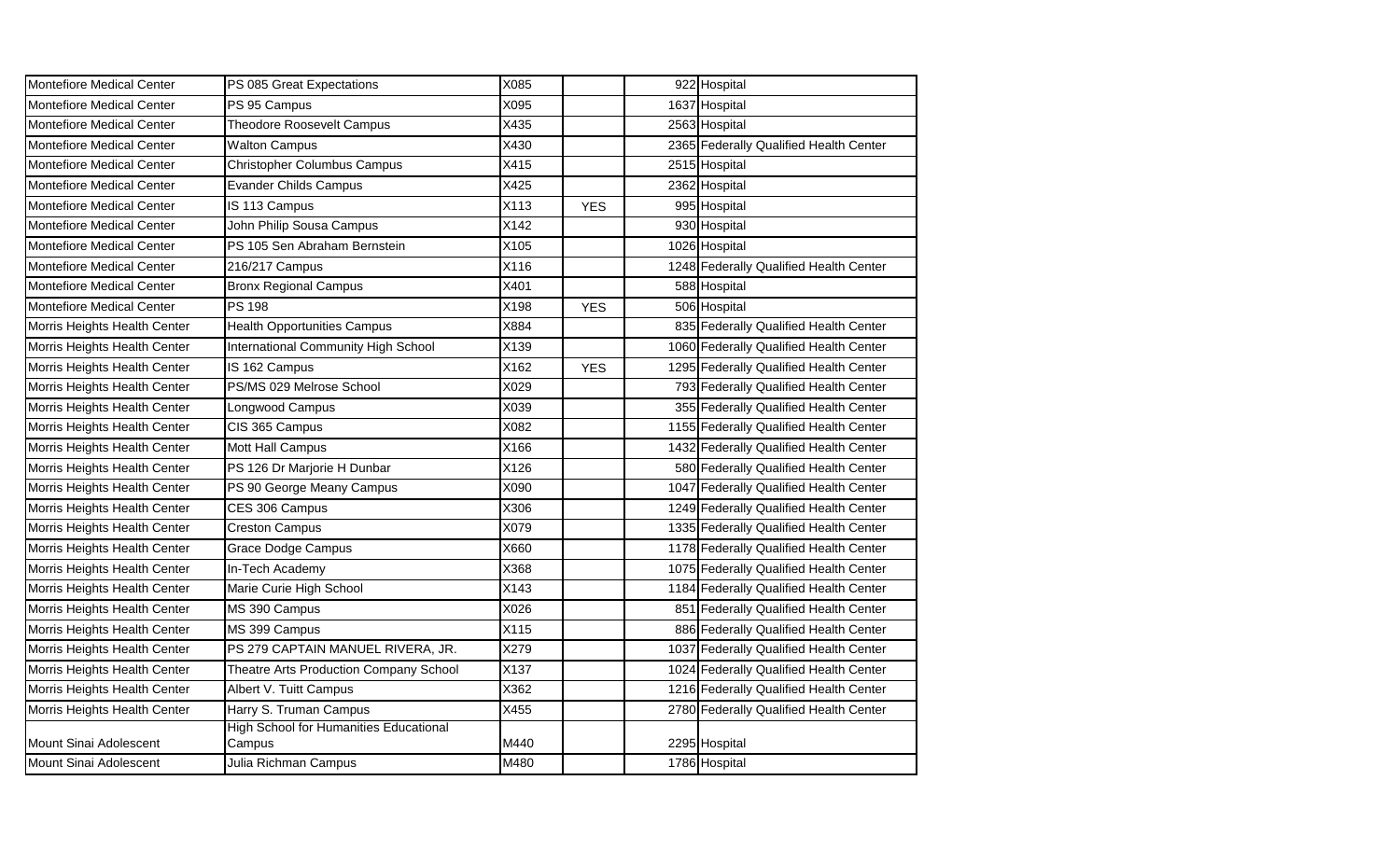| Montefiore Medical Center        | PS 085 Great Expectations                               | X085 |            | 922 Hospital                           |
|----------------------------------|---------------------------------------------------------|------|------------|----------------------------------------|
| <b>Montefiore Medical Center</b> | PS 95 Campus                                            | X095 |            | 1637 Hospital                          |
| <b>Montefiore Medical Center</b> | <b>Theodore Roosevelt Campus</b>                        | X435 |            | 2563 Hospital                          |
| <b>Montefiore Medical Center</b> | <b>Walton Campus</b>                                    | X430 |            | 2365 Federally Qualified Health Center |
| Montefiore Medical Center        | <b>Christopher Columbus Campus</b>                      | X415 |            | 2515 Hospital                          |
| <b>Montefiore Medical Center</b> | <b>Evander Childs Campus</b>                            | X425 |            | 2362 Hospital                          |
| <b>Montefiore Medical Center</b> | IS 113 Campus                                           | X113 | <b>YES</b> | 995 Hospital                           |
| <b>Montefiore Medical Center</b> | John Philip Sousa Campus                                | X142 |            | 930 Hospital                           |
| <b>Montefiore Medical Center</b> | PS 105 Sen Abraham Bernstein                            | X105 |            | 1026 Hospital                          |
| <b>Montefiore Medical Center</b> | 216/217 Campus                                          | X116 |            | 1248 Federally Qualified Health Center |
| <b>Montefiore Medical Center</b> | <b>Bronx Regional Campus</b>                            | X401 |            | 588 Hospital                           |
| <b>Montefiore Medical Center</b> | PS 198                                                  | X198 | <b>YES</b> | 506 Hospital                           |
| Morris Heights Health Center     | <b>Health Opportunities Campus</b>                      | X884 |            | 835 Federally Qualified Health Center  |
| Morris Heights Health Center     | International Community High School                     | X139 |            | 1060 Federally Qualified Health Center |
| Morris Heights Health Center     | IS 162 Campus                                           | X162 | <b>YES</b> | 1295 Federally Qualified Health Center |
| Morris Heights Health Center     | PS/MS 029 Melrose School                                | X029 |            | 793 Federally Qualified Health Center  |
| Morris Heights Health Center     | Longwood Campus                                         | X039 |            | 355 Federally Qualified Health Center  |
| Morris Heights Health Center     | CIS 365 Campus                                          | X082 |            | 1155 Federally Qualified Health Center |
| Morris Heights Health Center     | Mott Hall Campus                                        | X166 |            | 1432 Federally Qualified Health Center |
| Morris Heights Health Center     | PS 126 Dr Marjorie H Dunbar                             | X126 |            | 580 Federally Qualified Health Center  |
| Morris Heights Health Center     | PS 90 George Meany Campus                               | X090 |            | 1047 Federally Qualified Health Center |
| Morris Heights Health Center     | CES 306 Campus                                          | X306 |            | 1249 Federally Qualified Health Center |
| Morris Heights Health Center     | <b>Creston Campus</b>                                   | X079 |            | 1335 Federally Qualified Health Center |
| Morris Heights Health Center     | <b>Grace Dodge Campus</b>                               | X660 |            | 1178 Federally Qualified Health Center |
| Morris Heights Health Center     | In-Tech Academy                                         | X368 |            | 1075 Federally Qualified Health Center |
| Morris Heights Health Center     | Marie Curie High School                                 | X143 |            | 1184 Federally Qualified Health Center |
| Morris Heights Health Center     | MS 390 Campus                                           | X026 |            | 851 Federally Qualified Health Center  |
| Morris Heights Health Center     | MS 399 Campus                                           | X115 |            | 886 Federally Qualified Health Center  |
| Morris Heights Health Center     | PS 279 CAPTAIN MANUEL RIVERA, JR.                       | X279 |            | 1037 Federally Qualified Health Center |
| Morris Heights Health Center     | Theatre Arts Production Company School                  | X137 |            | 1024 Federally Qualified Health Center |
| Morris Heights Health Center     | Albert V. Tuitt Campus                                  | X362 |            | 1216 Federally Qualified Health Center |
| Morris Heights Health Center     | Harry S. Truman Campus                                  | X455 |            | 2780 Federally Qualified Health Center |
| Mount Sinai Adolescent           | <b>High School for Humanities Educational</b><br>Campus | M440 |            | 2295 Hospital                          |
| Mount Sinai Adolescent           | Julia Richman Campus                                    | M480 |            | 1786 Hospital                          |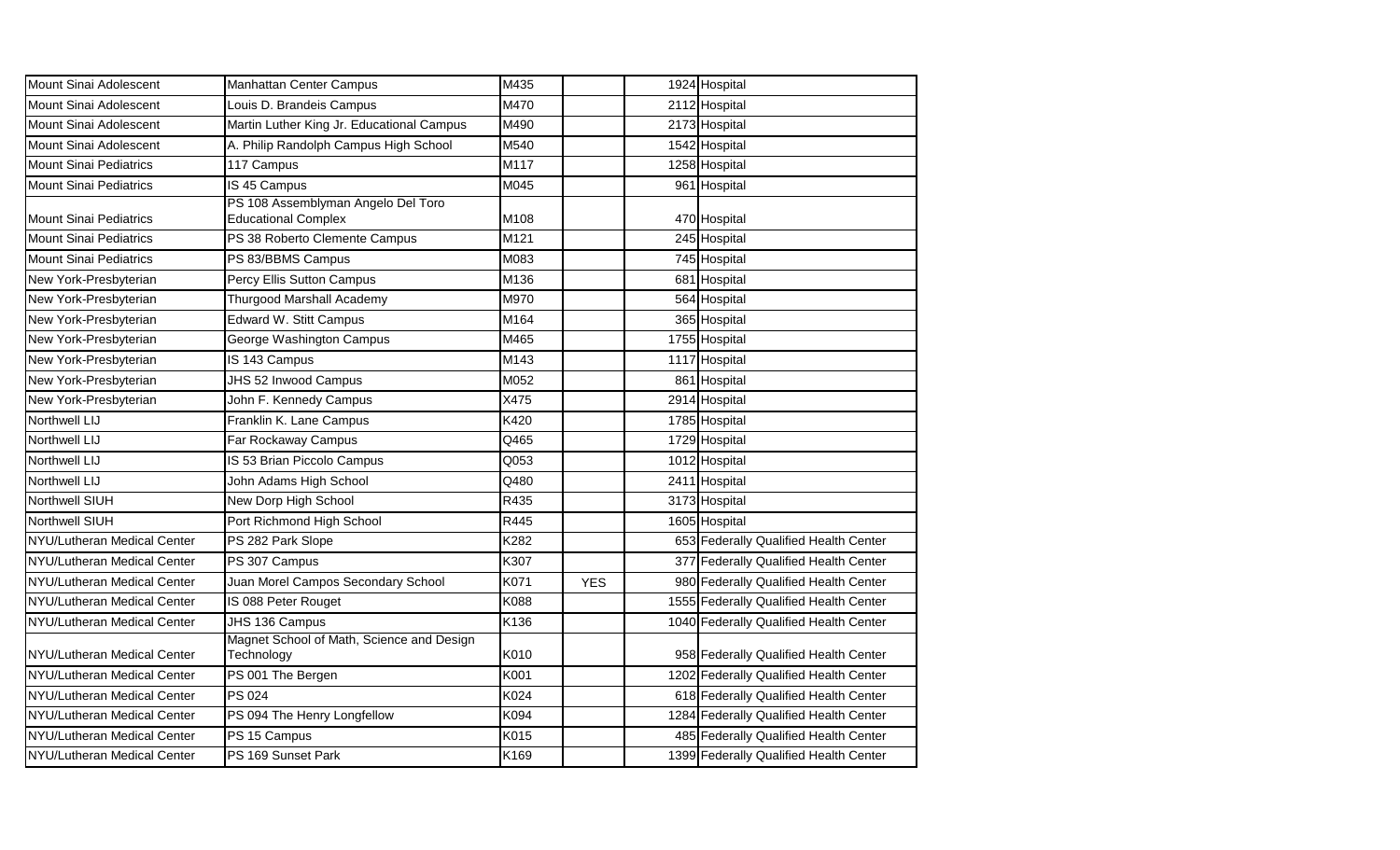| Mount Sinai Adolescent        | <b>Manhattan Center Campus</b>                                   | M435 |            | 1924 Hospital                          |
|-------------------------------|------------------------------------------------------------------|------|------------|----------------------------------------|
| Mount Sinai Adolescent        | Louis D. Brandeis Campus                                         | M470 |            | 2112 Hospital                          |
| Mount Sinai Adolescent        | Martin Luther King Jr. Educational Campus                        | M490 |            | 2173 Hospital                          |
| Mount Sinai Adolescent        | A. Philip Randolph Campus High School                            | M540 |            | 1542 Hospital                          |
| <b>Mount Sinai Pediatrics</b> | 117 Campus                                                       | M117 |            | 1258 Hospital                          |
| <b>Mount Sinai Pediatrics</b> | IS 45 Campus                                                     | M045 |            | 961 Hospital                           |
| <b>Mount Sinai Pediatrics</b> | PS 108 Assemblyman Angelo Del Toro<br><b>Educational Complex</b> | M108 |            | 470 Hospital                           |
| <b>Mount Sinai Pediatrics</b> | PS 38 Roberto Clemente Campus                                    | M121 |            | 245 Hospital                           |
| <b>Mount Sinai Pediatrics</b> | PS 83/BBMS Campus                                                | M083 |            | 745 Hospital                           |
| New York-Presbyterian         | Percy Ellis Sutton Campus                                        | M136 |            | 681 Hospital                           |
| New York-Presbyterian         | Thurgood Marshall Academy                                        | M970 |            | 564 Hospital                           |
| New York-Presbyterian         | <b>Edward W. Stitt Campus</b>                                    | M164 |            | 365 Hospital                           |
| New York-Presbyterian         | George Washington Campus                                         | M465 |            | 1755 Hospital                          |
| New York-Presbyterian         | IS 143 Campus                                                    | M143 |            | 1117 Hospital                          |
| New York-Presbyterian         | JHS 52 Inwood Campus                                             | M052 |            | 861 Hospital                           |
| New York-Presbyterian         | John F. Kennedy Campus                                           | X475 |            | 2914 Hospital                          |
| Northwell LIJ                 | Franklin K. Lane Campus                                          | K420 |            | 1785 Hospital                          |
| Northwell LIJ                 | Far Rockaway Campus                                              | Q465 |            | 1729 Hospital                          |
| Northwell LIJ                 | IS 53 Brian Piccolo Campus                                       | Q053 |            | 1012 Hospital                          |
| Northwell LIJ                 | John Adams High School                                           | Q480 |            | 2411 Hospital                          |
| Northwell SIUH                | New Dorp High School                                             | R435 |            | 3173 Hospital                          |
| Northwell SIUH                | Port Richmond High School                                        | R445 |            | 1605 Hospital                          |
| NYU/Lutheran Medical Center   | PS 282 Park Slope                                                | K282 |            | 653 Federally Qualified Health Center  |
| NYU/Lutheran Medical Center   | PS 307 Campus                                                    | K307 |            | 377 Federally Qualified Health Center  |
| NYU/Lutheran Medical Center   | Juan Morel Campos Secondary School                               | K071 | <b>YES</b> | 980 Federally Qualified Health Center  |
| NYU/Lutheran Medical Center   | IS 088 Peter Rouget                                              | K088 |            | 1555 Federally Qualified Health Center |
| NYU/Lutheran Medical Center   | JHS 136 Campus                                                   | K136 |            | 1040 Federally Qualified Health Center |
| NYU/Lutheran Medical Center   | Magnet School of Math, Science and Design<br>Technology          | K010 |            | 958 Federally Qualified Health Center  |
| NYU/Lutheran Medical Center   | PS 001 The Bergen                                                | K001 |            | 1202 Federally Qualified Health Center |
| NYU/Lutheran Medical Center   | PS 024                                                           | K024 |            | 618 Federally Qualified Health Center  |
| NYU/Lutheran Medical Center   | PS 094 The Henry Longfellow                                      | K094 |            | 1284 Federally Qualified Health Center |
| NYU/Lutheran Medical Center   | PS 15 Campus                                                     | K015 |            | 485 Federally Qualified Health Center  |
| NYU/Lutheran Medical Center   | PS 169 Sunset Park                                               | K169 |            | 1399 Federally Qualified Health Center |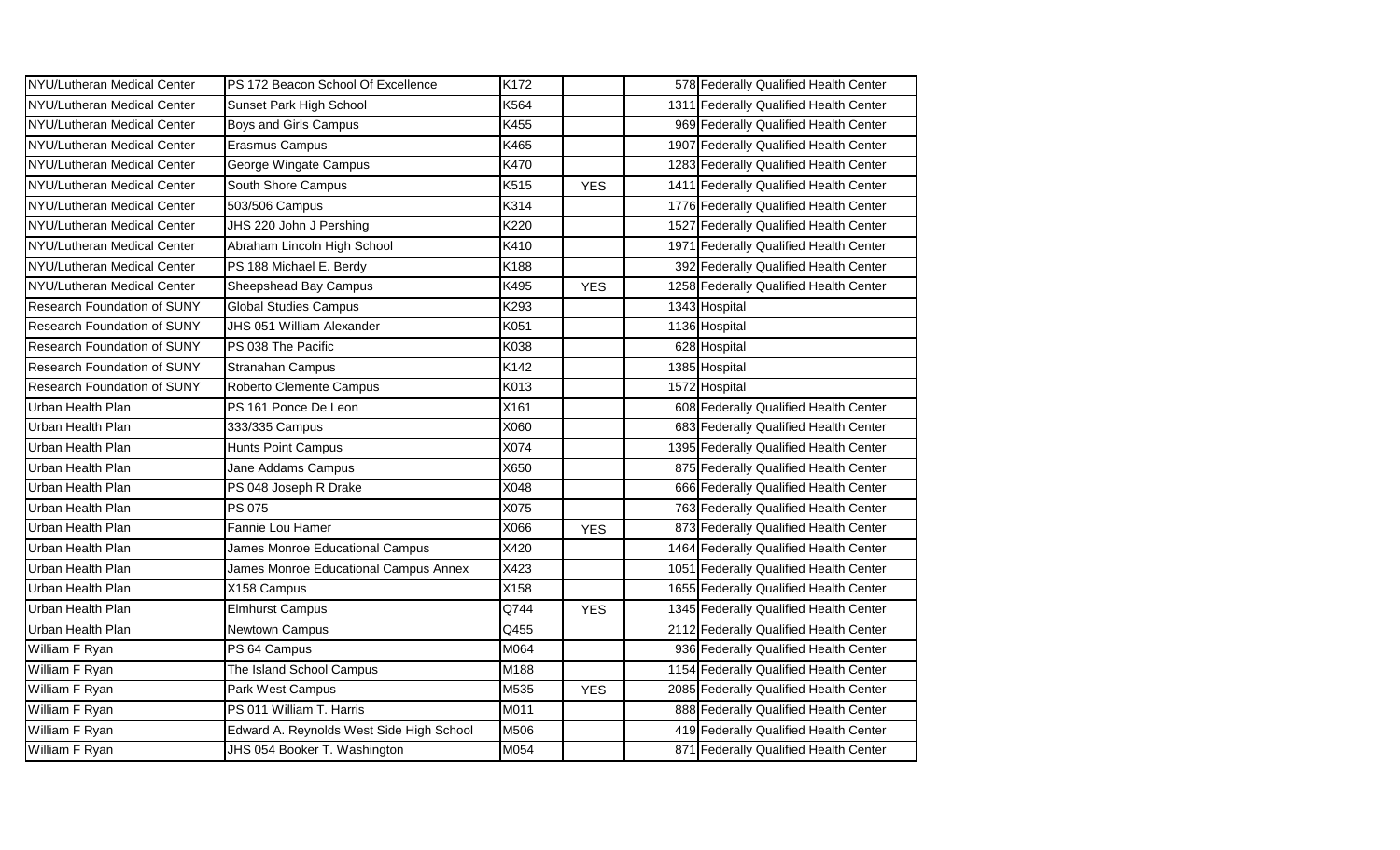| NYU/Lutheran Medical Center        | PS 172 Beacon School Of Excellence       | K172 |            |      | 578 Federally Qualified Health Center  |
|------------------------------------|------------------------------------------|------|------------|------|----------------------------------------|
| NYU/Lutheran Medical Center        | Sunset Park High School                  | K564 |            |      | 1311 Federally Qualified Health Center |
| NYU/Lutheran Medical Center        | Boys and Girls Campus                    | K455 |            |      | 969 Federally Qualified Health Center  |
| NYU/Lutheran Medical Center        | Erasmus Campus                           | K465 |            |      | 1907 Federally Qualified Health Center |
| NYU/Lutheran Medical Center        | George Wingate Campus                    | K470 |            |      | 1283 Federally Qualified Health Center |
| NYU/Lutheran Medical Center        | South Shore Campus                       | K515 | <b>YES</b> |      | 1411 Federally Qualified Health Center |
| NYU/Lutheran Medical Center        | 503/506 Campus                           | K314 |            |      | 1776 Federally Qualified Health Center |
| NYU/Lutheran Medical Center        | JHS 220 John J Pershing                  | K220 |            |      | 1527 Federally Qualified Health Center |
| NYU/Lutheran Medical Center        | Abraham Lincoln High School              | K410 |            | 1971 | Federally Qualified Health Center      |
| NYU/Lutheran Medical Center        | PS 188 Michael E. Berdy                  | K188 |            |      | 392 Federally Qualified Health Center  |
| NYU/Lutheran Medical Center        | Sheepshead Bay Campus                    | K495 | <b>YES</b> |      | 1258 Federally Qualified Health Center |
| <b>Research Foundation of SUNY</b> | <b>Global Studies Campus</b>             | K293 |            |      | 1343 Hospital                          |
| <b>Research Foundation of SUNY</b> | JHS 051 William Alexander                | K051 |            |      | 1136 Hospital                          |
| Research Foundation of SUNY        | PS 038 The Pacific                       | K038 |            |      | 628 Hospital                           |
| <b>Research Foundation of SUNY</b> | <b>Stranahan Campus</b>                  | K142 |            |      | 1385 Hospital                          |
| <b>Research Foundation of SUNY</b> | Roberto Clemente Campus                  | K013 |            |      | 1572 Hospital                          |
| Urban Health Plan                  | PS 161 Ponce De Leon                     | X161 |            |      | 608 Federally Qualified Health Center  |
| Urban Health Plan                  | 333/335 Campus                           | X060 |            |      | 683 Federally Qualified Health Center  |
| Urban Health Plan                  | <b>Hunts Point Campus</b>                | X074 |            |      | 1395 Federally Qualified Health Center |
| Urban Health Plan                  | Jane Addams Campus                       | X650 |            |      | 875 Federally Qualified Health Center  |
| Urban Health Plan                  | PS 048 Joseph R Drake                    | X048 |            |      | 666 Federally Qualified Health Center  |
| Urban Health Plan                  | PS 075                                   | X075 |            |      | 763 Federally Qualified Health Center  |
| Urban Health Plan                  | Fannie Lou Hamer                         | X066 | <b>YES</b> |      | 873 Federally Qualified Health Center  |
| Urban Health Plan                  | James Monroe Educational Campus          | X420 |            |      | 1464 Federally Qualified Health Center |
| Urban Health Plan                  | James Monroe Educational Campus Annex    | X423 |            |      | 1051 Federally Qualified Health Center |
| Urban Health Plan                  | X158 Campus                              | X158 |            |      | 1655 Federally Qualified Health Center |
| Urban Health Plan                  | Elmhurst Campus                          | Q744 | <b>YES</b> |      | 1345 Federally Qualified Health Center |
| Urban Health Plan                  | Newtown Campus                           | Q455 |            |      | 2112 Federally Qualified Health Center |
| William F Ryan                     | PS 64 Campus                             | M064 |            |      | 936 Federally Qualified Health Center  |
| William F Ryan                     | The Island School Campus                 | M188 |            |      | 1154 Federally Qualified Health Center |
| William F Ryan                     | Park West Campus                         | M535 | <b>YES</b> |      | 2085 Federally Qualified Health Center |
| William F Ryan                     | PS 011 William T. Harris                 | M011 |            |      | 888 Federally Qualified Health Center  |
| William F Ryan                     | Edward A. Reynolds West Side High School | M506 |            |      | 419 Federally Qualified Health Center  |
| William F Ryan                     | JHS 054 Booker T. Washington             | M054 |            |      | 871 Federally Qualified Health Center  |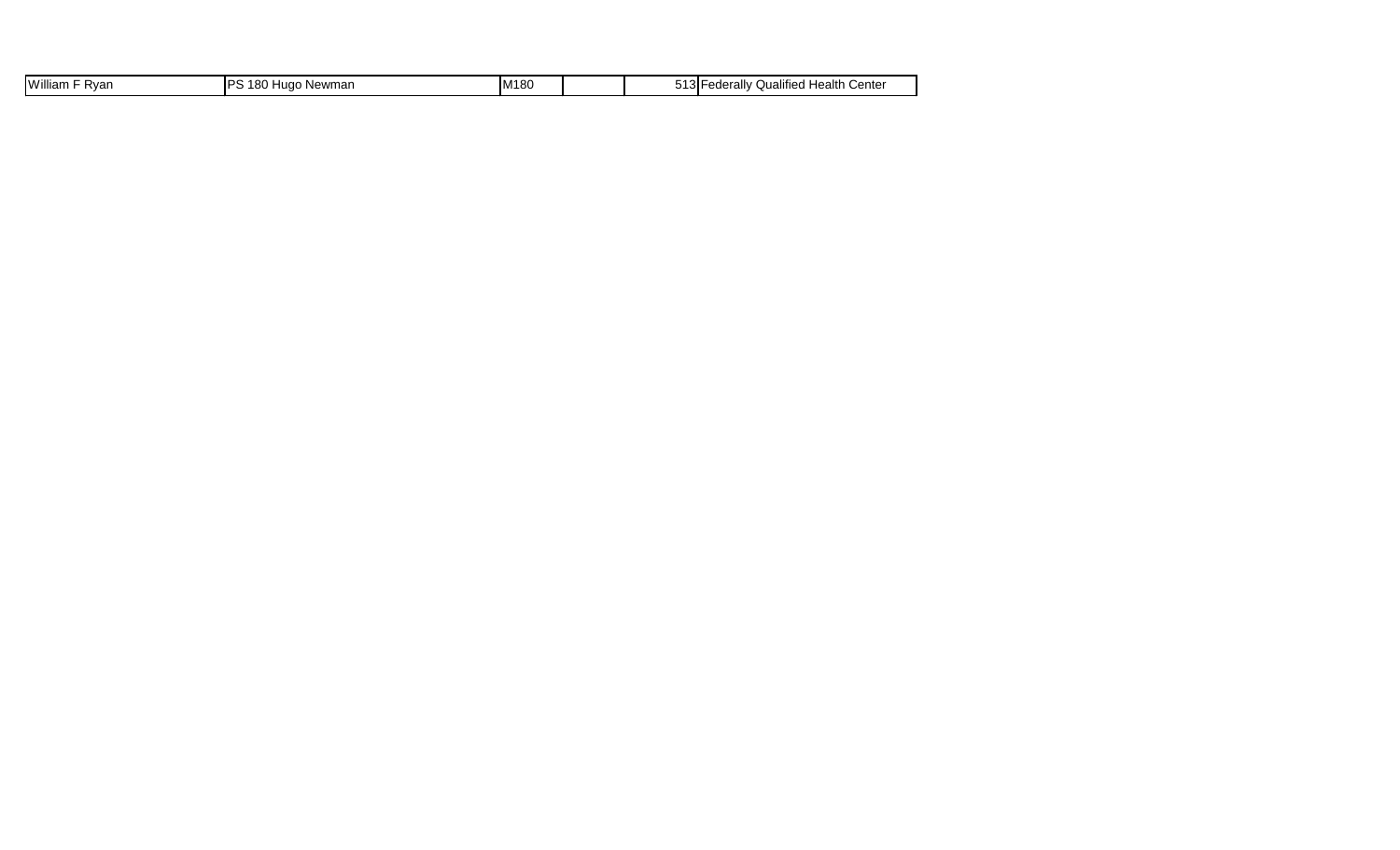| <b>IWilli</b><br>∢var<br>liam | 10C<br>ס כדו<br>ewmar<br>$\sim$<br>. . <i>.</i><br>nц. | ıм<br>. OU | .<br>. | .<br>Center<br>lealth<br>Qualifie<br>am |
|-------------------------------|--------------------------------------------------------|------------|--------|-----------------------------------------|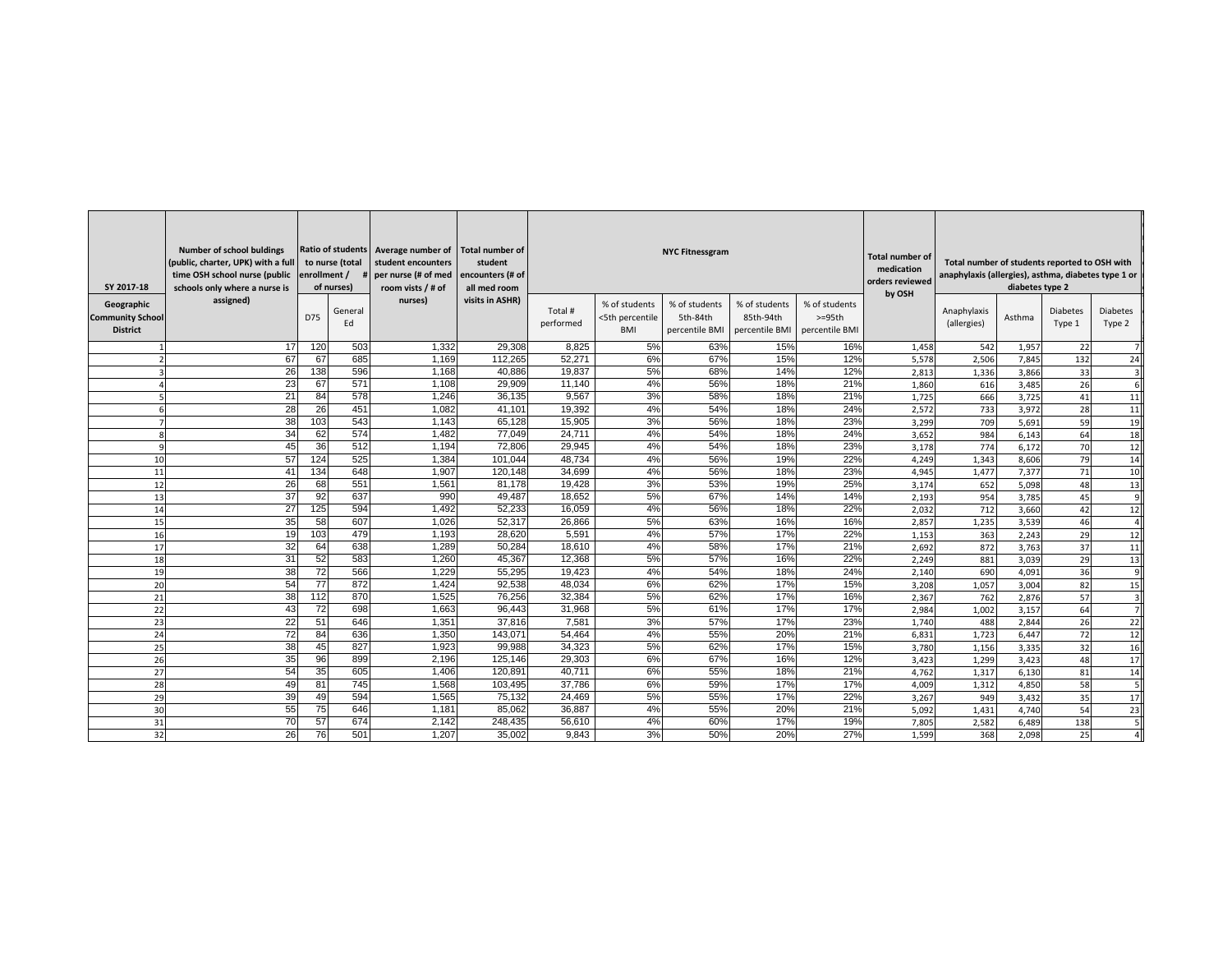| SY 2017-18                                               | <b>Number of school buldings</b><br>(public, charter, UPK) with a full<br>time OSH school nurse (public<br>schools only where a nurse is | enrollment /    | to nurse (total<br>of nurses) | Ratio of students   Average number of   Total number of<br>student encounters<br>per nurse (# of med<br>room vists $/$ # of | student<br>encounters (# of<br>all med room |                      | <b>NYC Fitnessgram</b>                         | <b>Total number of</b><br>medication<br>orders reviewed<br>by OSH | Total number of students reported to OSH with<br>anaphylaxis (allergies), asthma, diabetes type 1 or<br>diabetes type 2 |                           |       |                            |        |                           |                           |
|----------------------------------------------------------|------------------------------------------------------------------------------------------------------------------------------------------|-----------------|-------------------------------|-----------------------------------------------------------------------------------------------------------------------------|---------------------------------------------|----------------------|------------------------------------------------|-------------------------------------------------------------------|-------------------------------------------------------------------------------------------------------------------------|---------------------------|-------|----------------------------|--------|---------------------------|---------------------------|
| Geographic<br><b>Community School</b><br><b>District</b> | assigned)                                                                                                                                | D75             | General<br>Ed                 | nurses)                                                                                                                     | visits in ASHR)                             | Total #<br>performed | % of students<br><5th percentile<br><b>BMI</b> | % of students<br>5th-84th<br>percentile BMI                       | % of students<br>85th-94th<br>percentile BMI   percentile BMI                                                           | % of students<br>$>=95th$ |       | Anaphylaxis<br>(allergies) | Asthma | <b>Diabetes</b><br>Type 1 | <b>Diabetes</b><br>Type 2 |
|                                                          | 17                                                                                                                                       | 120             | 503                           | 1,332                                                                                                                       | 29,308                                      | 8,825                | 5%                                             | 63%                                                               | 15%                                                                                                                     | 16%                       | 1,458 | 542                        | 1,957  | 22                        |                           |
|                                                          | 67                                                                                                                                       | 67              | 685                           | 1,169                                                                                                                       | 112,265                                     | 52,271               | 6%                                             | 67%                                                               | 15%                                                                                                                     | 12%                       | 5,578 | 2,506                      | 7,845  | 132                       | 24                        |
|                                                          | 26                                                                                                                                       | 138             | 596                           | 1,168                                                                                                                       | 40,886                                      | 19,837               | 5%                                             | 68%                                                               | 14%                                                                                                                     | 12%                       | 2,813 | 1,336                      | 3,866  | 33                        |                           |
|                                                          | 23                                                                                                                                       | 67              | 571                           | 1,108                                                                                                                       | 29,909                                      | 11,140               | 4%                                             | 56%                                                               | 18%                                                                                                                     | 21%                       | 1,860 | 616                        | 3,485  | 26                        |                           |
|                                                          | 21                                                                                                                                       | 84              | 578                           | 1,246                                                                                                                       | 36,135                                      | 9,567                | 3%                                             | 58%                                                               | 18%                                                                                                                     | 21%                       | 1,725 | 666                        | 3,725  | 41                        | 11                        |
|                                                          | $\overline{28}$                                                                                                                          | $\overline{26}$ | 451                           | 1,082                                                                                                                       | 41,101                                      | 19,392               | 4%                                             | 54%                                                               | 18%                                                                                                                     | 24%                       | 2,572 | 733                        | 3,972  | 28                        | 11                        |
|                                                          | 38                                                                                                                                       | 103             | 543                           | 1,143                                                                                                                       | 65,128                                      | 15,905               | 3%                                             | 56%                                                               | 18%                                                                                                                     | 23%                       | 3,299 | 709                        | 5,691  | 59                        | 19                        |
| 8                                                        | 34                                                                                                                                       | 62              | 574                           | 1,482                                                                                                                       | 77,049                                      | 24,711               | 4%                                             | 54%                                                               | 18%                                                                                                                     | 24%                       | 3,652 | 984                        | 6,143  | 64                        | 18                        |
| 9                                                        | 45                                                                                                                                       | 36              | 512                           | 1,194                                                                                                                       | 72,806                                      | 29,945               | 4%                                             | 54%                                                               | 18%                                                                                                                     | 23%                       | 3,178 | 774                        | 6,172  | 70                        | 12                        |
| 10                                                       | 57                                                                                                                                       | 124             | 525                           | 1,384                                                                                                                       | 101,044                                     | 48,734               | 4%                                             | 56%                                                               | 19%                                                                                                                     | 22%                       | 4,249 | 1,343                      | 8,606  | 79                        | 14                        |
| 11                                                       | 41                                                                                                                                       | 134             | 648                           | 1,907                                                                                                                       | 120,148                                     | 34,699               | 4%                                             | 56%                                                               | 18%                                                                                                                     | 23%                       | 4,945 | 1,477                      | 7,377  | 71                        | 10                        |
| 12                                                       | 26                                                                                                                                       | 68              | 551                           | 1,561                                                                                                                       | 81,178                                      | 19,428               | 3%                                             | 53%                                                               | 19%                                                                                                                     | 25%                       | 3,174 | 652                        | 5,098  | 48                        | 13                        |
| 13                                                       | $\overline{37}$                                                                                                                          | 92              | 637                           | 990                                                                                                                         | 49,487                                      | 18,652               | 5%                                             | 67%                                                               | 14%                                                                                                                     | 14%                       | 2,193 | 954                        | 3,785  | 45                        | -91                       |
| 14                                                       | 27                                                                                                                                       | 125             | 594                           | 1,492                                                                                                                       | 52,233                                      | 16,059               | 4%                                             | 56%                                                               | 18%                                                                                                                     | 22%                       | 2,032 | 712                        | 3,660  | 42                        | 12                        |
| 15                                                       | 35                                                                                                                                       | 58              | 607                           | 1,026                                                                                                                       | 52,317                                      | 26,866               | 5%                                             | 63%                                                               | 16%                                                                                                                     | 16%                       | 2,857 | 1,235                      | 3,539  | 46                        |                           |
| 16                                                       | 19                                                                                                                                       | 103             | 479                           | 1,193                                                                                                                       | 28,620                                      | 5,591                | 4%                                             | 57%                                                               | 17%                                                                                                                     | 22%                       | 1,153 | 363                        | 2,243  | 29                        | 12                        |
| 17                                                       | 32                                                                                                                                       | 64              | 638                           | 1,289                                                                                                                       | 50,284                                      | 18,610               | 4%                                             | 58%                                                               | 17%                                                                                                                     | 21%                       | 2,692 | 872                        | 3,763  | 37                        | 11                        |
| 18                                                       | 31                                                                                                                                       | 52              | 583                           | 1,260                                                                                                                       | 45,367                                      | 12,368               | 5%                                             | 57%                                                               | 16%                                                                                                                     | 22%                       | 2,249 | 881                        | 3,039  | 29                        | 13                        |
| 19                                                       | 38                                                                                                                                       | 72              | 566                           | 1,229                                                                                                                       | 55,295                                      | 19,423               | 4%                                             | 54%                                                               | 18%                                                                                                                     | 24%                       | 2,140 | 690                        | 4,091  | 36                        | -91                       |
| 20                                                       | 54                                                                                                                                       | 77              | 872                           | 1,424                                                                                                                       | 92,538                                      | 48,034               | 6%                                             | 62%                                                               | 17%                                                                                                                     | 15%                       | 3,208 | 1,057                      | 3,004  | 82                        | 15                        |
| 21<br>스                                                  | 38                                                                                                                                       | 112<br>.        | 870                           | 1,525                                                                                                                       | 76,256                                      | 32,384               | 5%<br>$\mathsf{v}$                             | 62%                                                               | 17%<br><u>.</u>                                                                                                         | 16%                       | 2,367 | 762                        | 2,876  | 57                        |                           |
| 22                                                       | 43                                                                                                                                       | 72              | 698                           | 1,663                                                                                                                       | 96,443                                      | 31,968               | 5%                                             | 61%                                                               | 17%                                                                                                                     | 17%                       | 2,984 | 1,002                      | 3,157  | 64                        |                           |
| 23                                                       | 22                                                                                                                                       | 51              | 646                           | 1,351                                                                                                                       | 37,816                                      | 7,581                | 3%                                             | 57%                                                               | 17%                                                                                                                     | 23%                       | 1,740 | 488                        | 2,844  | 26                        | 22                        |
| 24                                                       | 72                                                                                                                                       | 84              | 636                           | 1,350                                                                                                                       | 143,071                                     | 54,464               | 4%                                             | 55%                                                               | 20%                                                                                                                     | 21%                       | 6,831 | 1,723                      | 6,447  | 72                        | 12                        |
| 25                                                       | 38                                                                                                                                       | 45              | 827                           | 1,923                                                                                                                       | 99,988                                      | 34,323               | 5%                                             | 62%                                                               | 17%                                                                                                                     | 15%                       | 3,780 | 1,156                      | 3,335  | 32                        | 16                        |
| 26                                                       | 35                                                                                                                                       | 96              | 899                           | 2,196                                                                                                                       | 125,146                                     | 29,303               | 6%                                             | 67%                                                               | 16%                                                                                                                     | 12%                       | 3,423 | 1,299                      | 3,423  | 48                        | 17                        |
| 27                                                       | 54                                                                                                                                       | 35              | 605                           | 1,406                                                                                                                       | 120,891                                     | 40,711               | 6%                                             | 55%                                                               | 18%                                                                                                                     | 21%                       | 4,762 | 1,317                      | 6,130  | 81                        | 14                        |
| 28                                                       | 49                                                                                                                                       | 81              | 745                           | 1,568                                                                                                                       | 103,495                                     | 37,786               | 6%                                             | 59%                                                               | 17%                                                                                                                     | 17%                       | 4,009 | 1,312                      | 4,850  | 58                        |                           |
| 29                                                       | 39                                                                                                                                       | 49              | 594                           | 1,565                                                                                                                       | 75,132                                      | 24,469               | 5%                                             | 55%                                                               | 17%                                                                                                                     | 22%                       | 3,267 | 949                        | 3,432  | 35                        | 17                        |
| 30                                                       | 55                                                                                                                                       | 75              | 646                           | 1,181                                                                                                                       | 85,062                                      | 36,887               | 4%                                             | 55%                                                               | 20%                                                                                                                     | 21%                       | 5,092 | 1,431                      | 4,740  | 54                        | 23                        |
| 31                                                       | 70                                                                                                                                       | 57              | 674                           | 2,142                                                                                                                       | 248,435                                     | 56,610               | 4%                                             | 60%                                                               | 17%                                                                                                                     | 19%                       | 7,805 | 2,582                      | 6,489  | 138                       |                           |
| 32                                                       | 26                                                                                                                                       | 76              | 501                           | 1,207                                                                                                                       | 35,002                                      | 9,843                | 3%                                             | 50%                                                               | 20%                                                                                                                     | 27%                       | 1,599 | 368                        | 2,098  | 25                        |                           |